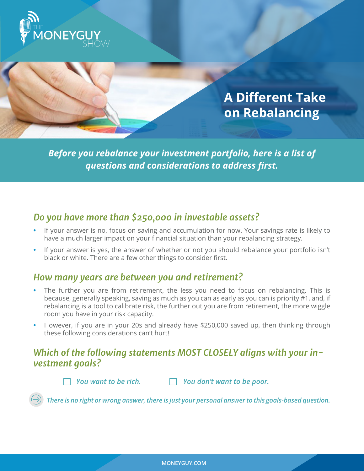

## **A Different Take on Rebalancing**

*Before you rebalance your investment portfolio, here is a list of questions and considerations to address first.* 

## *Do you have more than \$250,000 in investable assets?*

- **•** If your answer is no, focus on saving and accumulation for now. Your savings rate is likely to have a much larger impact on your financial situation than your rebalancing strategy.
- **•** If your answer is yes, the answer of whether or not you should rebalance your portfolio isn't black or white. There are a few other things to consider first.

## *How many years are between you and retirement?*

- **•** The further you are from retirement, the less you need to focus on rebalancing. This is because, generally speaking, saving as much as you can as early as you can is priority #1, and, if rebalancing is a tool to calibrate risk, the further out you are from retirement, the more wiggle room you have in your risk capacity.
- **•** However, if you are in your 20s and already have \$250,000 saved up, then thinking through these following considerations can't hurt!

## *Which of the following statements MOST CLOSELY aligns with your investment goals?*



*You want to be rich. You don't want to be poor.*

*There is no right or wrong answer, there is just your personal answer to this goals-based question.*

**MONEYGUY.COM**